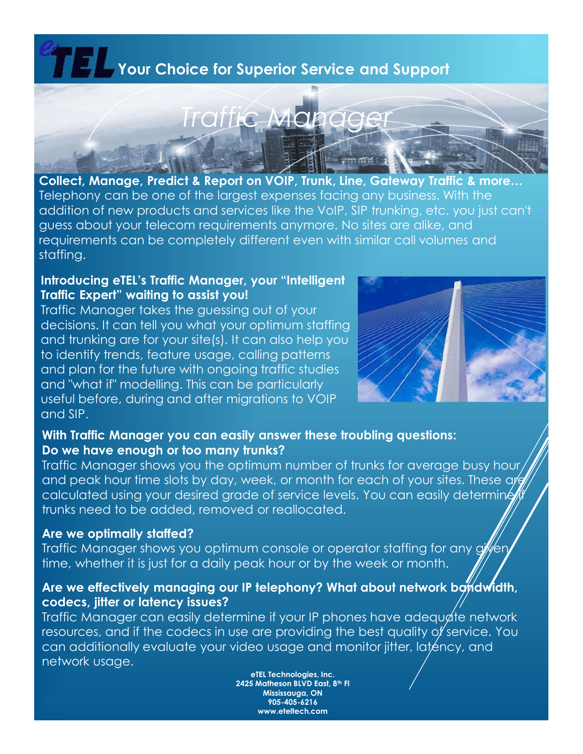# **Your Choice for Superior Service and Support**



**Collect, Manage, Predict & Report on VOIP, Trunk, Line, Gateway Traffic & more…** Telephony can be one of the largest expenses facing any business. With the addition of new products and services like the VoIP, SIP trunking, etc. you just can't guess about your telecom requirements anymore. No sites are alike, and requirements can be completely different even with similar call volumes and staffing.

### **Introducing eTEL's Traffic Manager, your "Intelligent Traffic Expert" waiting to assist you!**

Traffic Manager takes the guessing out of your decisions. It can tell you what your optimum staffing and trunking are for your site(s). It can also help you to identify trends, feature usage, calling patterns and plan for the future with ongoing traffic studies and "what if" modelling. This can be particularly useful before, during and after migrations to VOIP and SIP.



## **With Traffic Manager you can easily answer these troubling questions: Do we have enough or too many trunks?**

Traffic Manager shows you the optimum number of trunks for average busy hour and peak hour time slots by day, week, or month for each of your sites. These are calculated using your desired grade of service levels. You can easily determiné trunks need to be added, removed or reallocated.

### **Are we optimally staffed?**

Traffic Manager shows you optimum console or operator staffing for any given time, whether it is just for a daily peak hour or by the week or month.

## Are we effectively managing our IP telephony? What about network bandwidth, **codecs, jitter or latency issues?**

Traffic Manager can easily determine if your IP phones have adequate network resources, and if the codecs in use are providing the best quality of service. You can additionally evaluate your video usage and monitor jitter, latency, and network usage.

> **eTEL Technologies, Inc. 2425 Matheson BLVD East, 8th Fl Mississauga, ON 905-405-6216 www.eteltech.com**